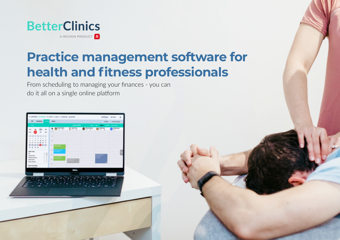

# **Practice management software for health and fitness professionals**

From scheduling to managing your finances - you can do it all on a single online platform

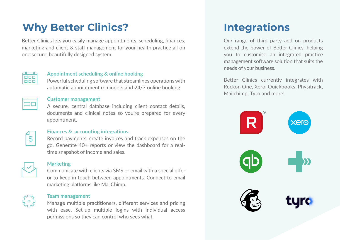### **Why Better Clinics? Integrations**

Better Clinics lets you easily manage appointments, scheduling, finances, marketing and client & staff management for your health practice all on one secure, beautifully designed system.



#### **Appointment scheduling & online booking**

Powerful scheduling software that streamlines operations with automatic appointment reminders and 24/7 online booking.

#### **Customer management**

A secure, central database including client contact details, documents and clinical notes so you're prepared for every appointment.



### **Finances & accounting integrations**

Record payments, create invoices and track expenses on the go. Generate 40+ reports or view the dashboard for a realtime snapshot of income and sales.



### **Marketing**

Communicate with clients via SMS or email with a special offer or to keep in touch between appointments. Connect to email marketing platforms like MailChimp.

#### **Team management**

Manage multiple practitioners, different services and pricing with ease. Set-up multiple logins with individual access permissions so they can control who sees what.

Our range of third party add on products extend the power of Better Clinics, helping you to customise an integrated practice management software solution that suits the needs of your business.

Better Clinics currently integrates with Reckon One, Xero, Quickbooks, Physitrack, Mailchimp, Tyro and more!

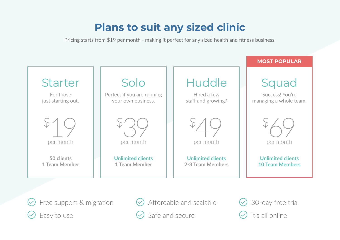## **Plans to suit any sized clinic**

Pricing starts from \$19 per month - making it perfect for any sized health and fitness business.



Free support & migration Easy to use

Affordable and scalable

Safe and secure

30-day free trial

It's all online